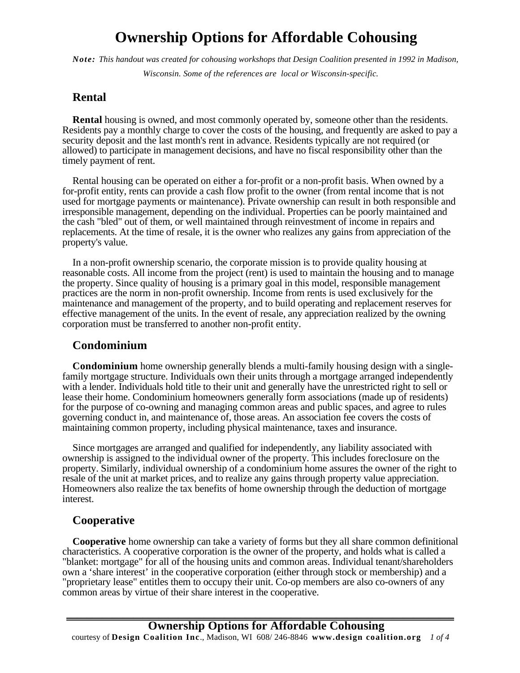# **Ownership Options for Affordable Cohousing**

*Note: This handout was created for cohousing workshops that Design Coalition presented in 1992 in Madison,* 

*Wisconsin. Some of the references are local or Wisconsin-specific.* 

## **Rental**

**Rental** housing is owned, and most commonly operated by, someone other than the residents. Residents pay a monthly charge to cover the costs of the housing, and frequently are asked to pay a security deposit and the last month's rent in advance. Residents typically are not required (or allowed) to participate in management decisions, and have no fiscal responsibility other than the timely payment of rent.

Rental housing can be operated on either a for-profit or a non-profit basis. When owned by a for-profit entity, rents can provide a cash flow profit to the owner (from rental income that is not used for mortgage payments or maintenance). Private ownership can result in both responsible and irresponsible management, depending on the individual. Properties can be poorly maintained and the cash "bled" out of them, or well maintained through reinvestment of income in repairs and replacements. At the time of resale, it is the owner who realizes any gains from appreciation of the property's value.

In a non-profit ownership scenario, the corporate mission is to provide quality housing at reasonable costs. All income from the project (rent) is used to maintain the housing and to manage the property. Since quality of housing is a primary goal in this model, responsible management practices are the norm in non-profit ownership. Income from rents is used exclusively for the maintenance and management of the property, and to build operating and replacement reserves for effective management of the units. In the event of resale, any appreciation realized by the owning corporation must be transferred to another non-profit entity.

### **Condominium**

**Condominium** home ownership generally blends a multi-family housing design with a singlefamily mortgage structure. Individuals own their units through a mortgage arranged independently with a lender. Individuals hold title to their unit and generally have the unrestricted right to sell or lease their home. Condominium homeowners generally form associations (made up of residents) for the purpose of co-owning and managing common areas and public spaces, and agree to rules governing conduct in, and maintenance of, those areas. An association fee covers the costs of maintaining common property, including physical maintenance, taxes and insurance.

Since mortgages are arranged and qualified for independently, any liability associated with ownership is assigned to the individual owner of the property. This includes foreclosure on the property. Similarly, individual ownership of a condominium home assures the owner of the right to resale of the unit at market prices, and to realize any gains through property value appreciation. Homeowners also realize the tax benefits of home ownership through the deduction of mortgage interest.

## **Cooperative**

**Cooperative** home ownership can take a variety of forms but they all share common definitional characteristics. A cooperative corporation is the owner of the property, and holds what is called a "blanket: mortgage" for all of the housing units and common areas. Individual tenant/shareholders own a 'share interest' in the cooperative corporation (either through stock or membership) and a "proprietary lease" entitles them to occupy their unit. Co-op members are also co-owners of any common areas by virtue of their share interest in the cooperative.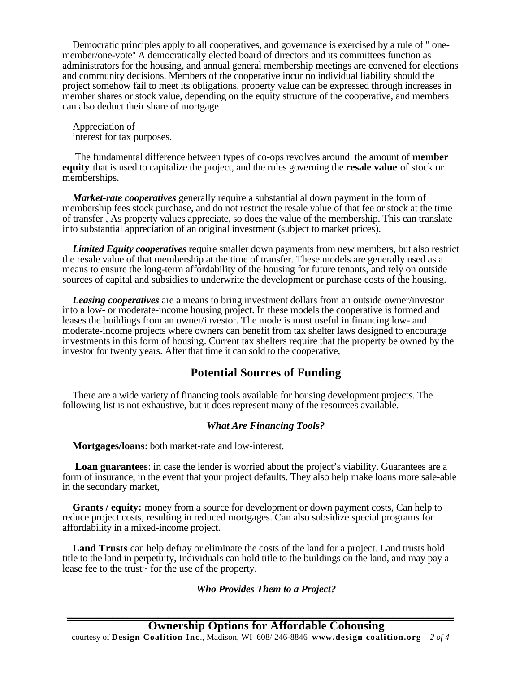Democratic principles apply to all cooperatives, and governance is exercised by a rule of " onemember/one-vote'' A democratically elected board of directors and its committees function as administrators for the housing, and annual general membership meetings are convened for elections and community decisions. Members of the cooperative incur no individual liability should the project somehow fail to meet its obligations. property value can be expressed through increases in member shares or stock value, depending on the equity structure of the cooperative, and members can also deduct their share of mortgage

Appreciation of interest for tax purposes.

 The fundamental difference between types of co-ops revolves around the amount of **member equity** that is used to capitalize the project, and the rules governing the **resale value** of stock or memberships.

*Market-rate cooperatives* generally require a substantial al down payment in the form of membership fees stock purchase, and do not restrict the resale value of that fee or stock at the time of transfer , As property values appreciate, so does the value of the membership. This can translate into substantial appreciation of an original investment (subject to market prices).

*Limited Equity cooperatives* require smaller down payments from new members, but also restrict the resale value of that membership at the time of transfer. These models are generally used as a means to ensure the long-term affordability of the housing for future tenants, and rely on outside sources of capital and subsidies to underwrite the development or purchase costs of the housing.

*Leasing cooperatives* are a means to bring investment dollars from an outside owner/investor into a low- or moderate-income housing project. In these models the cooperative is formed and leases the buildings from an owner/investor. The mode is most useful in financing low- and moderate-income projects where owners can benefit from tax shelter laws designed to encourage investments in this form of housing. Current tax shelters require that the property be owned by the investor for twenty years. After that time it can sold to the cooperative,

## **Potential Sources of Funding**

There are a wide variety of financing tools available for housing development projects. The following list is not exhaustive, but it does represent many of the resources available.

#### *What Are Financing Tools?*

**Mortgages/loans**: both market-rate and low-interest.

**Loan guarantees**: in case the lender is worried about the project's viability. Guarantees are a form of insurance, in the event that your project defaults. They also help make loans more sale-able in the secondary market,

**Grants / equity:** money from a source for development or down payment costs, Can help to reduce project costs, resulting in reduced mortgages. Can also subsidize special programs for affordability in a mixed-income project.

**Land Trusts** can help defray or eliminate the costs of the land for a project. Land trusts hold title to the land in perpetuity, Individuals can hold title to the buildings on the land, and may pay a lease fee to the trust~ for the use of the property.

#### *Who Provides Them to a Project?*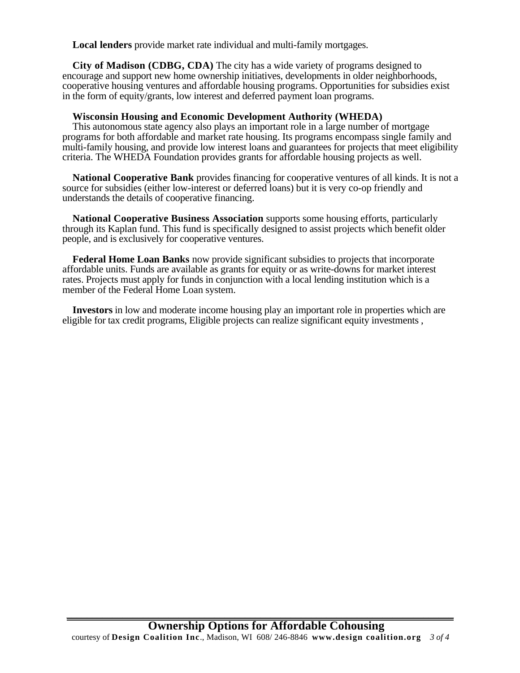**Local lenders** provide market rate individual and multi-family mortgages.

**City of Madison (CDBG, CDA)** The city has a wide variety of programs designed to encourage and support new home ownership initiatives, developments in older neighborhoods, cooperative housing ventures and affordable housing programs. Opportunities for subsidies exist in the form of equity/grants, low interest and deferred payment loan programs.

#### **Wisconsin Housing and Economic Development Authority (WHEDA)**

This autonomous state agency also plays an important role in a large number of mortgage programs for both affordable and market rate housing. Its programs encompass single family and multi-family housing, and provide low interest loans and guarantees for projects that meet eligibility criteria. The WHEDA Foundation provides grants for affordable housing projects as well.

**National Cooperative Bank** provides financing for cooperative ventures of all kinds. It is not a source for subsidies (either low-interest or deferred loans) but it is very co-op friendly and understands the details of cooperative financing.

**National Cooperative Business Association** supports some housing efforts, particularly through its Kaplan fund. This fund is specifically designed to assist projects which benefit older people, and is exclusively for cooperative ventures.

**Federal Home Loan Banks** now provide significant subsidies to projects that incorporate affordable units. Funds are available as grants for equity or as write-downs for market interest rates. Projects must apply for funds in conjunction with a local lending institution which is a member of the Federal Home Loan system.

**Investors** in low and moderate income housing play an important role in properties which are eligible for tax credit programs, Eligible projects can realize significant equity investments ,